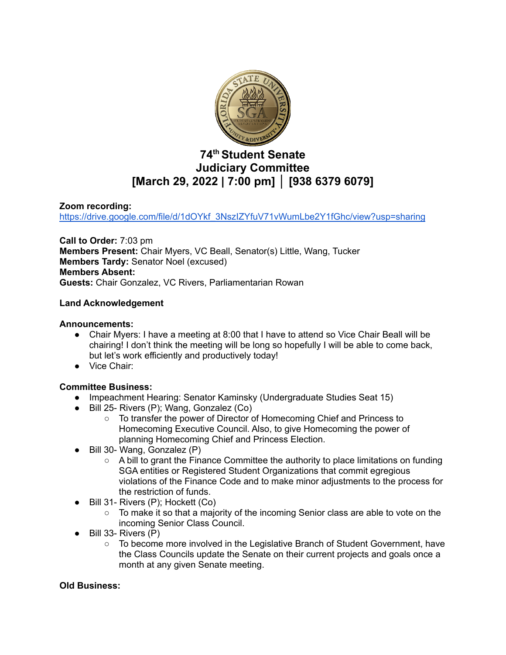

# **74 th Student Senate Judiciary Committee [March 29, 2022 | 7:00 pm] │ [938 6379 6079]**

### **Zoom recording:**

[https://drive.google.com/file/d/1dOYkf\\_3NszIZYfuV71vWumLbe2Y1fGhc/view?usp=sharing](https://drive.google.com/file/d/1dOYkf_3NszIZYfuV71vWumLbe2Y1fGhc/view?usp=sharing)

**Call to Order:** 7:03 pm **Members Present:** Chair Myers, VC Beall, Senator(s) Little, Wang, Tucker **Members Tardy:** Senator Noel (excused) **Members Absent: Guests:** Chair Gonzalez, VC Rivers, Parliamentarian Rowan

#### **Land Acknowledgement**

#### **Announcements:**

- Chair Myers: I have a meeting at 8:00 that I have to attend so Vice Chair Beall will be chairing! I don't think the meeting will be long so hopefully I will be able to come back, but let's work efficiently and productively today!
- Vice Chair:

#### **Committee Business:**

- **●** Impeachment Hearing: Senator Kaminsky (Undergraduate Studies Seat 15)
- Bill 25- Rivers (P); Wang, Gonzalez (Co)
	- To transfer the power of Director of Homecoming Chief and Princess to Homecoming Executive Council. Also, to give Homecoming the power of planning Homecoming Chief and Princess Election.
- Bill 30- Wang, Gonzalez (P)
	- A bill to grant the Finance Committee the authority to place limitations on funding SGA entities or Registered Student Organizations that commit egregious violations of the Finance Code and to make minor adjustments to the process for the restriction of funds.
	- Bill 31- Rivers (P); Hockett (Co)
		- $\circ$  To make it so that a majority of the incoming Senior class are able to vote on the incoming Senior Class Council.
- Bill 33- Rivers (P)
	- To become more involved in the Legislative Branch of Student Government, have the Class Councils update the Senate on their current projects and goals once a month at any given Senate meeting.

#### **Old Business:**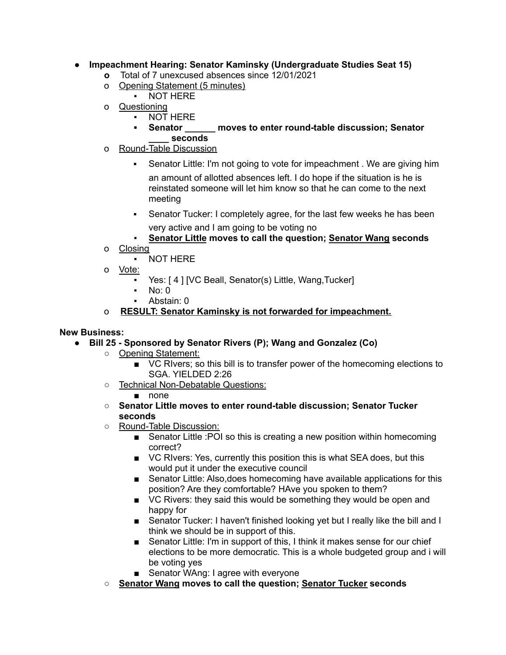## **● Impeachment Hearing: Senator Kaminsky (Undergraduate Studies Seat 15)**

- **o** Total of 7 unexcused absences since 12/01/2021
- o Opening Statement (5 minutes)
	- **NOT HERE**
- o Questioning
	- **NOT HERE**
	- **▪ Senator \_\_\_\_\_\_ moves to enter round-table discussion; Senator \_\_\_\_ seconds**
- o Round-Table Discussion
	- **EXECT** Senator Little: I'm not going to vote for impeachment . We are giving him

an amount of allotted absences left. I do hope if the situation is he is reinstated someone will let him know so that he can come to the next meeting

- **EXECT** Senator Tucker: I completely agree, for the last few weeks he has been very active and I am going to be voting no
- **Senator Little moves to call the question; Senator Wang seconds**
- o Closing

▪ NOT HERE

- o Vote:
	- Yes: [4] [VC Beall, Senator(s) Little, Wang, Tucker]
	- $No: 0$
	- Abstain: 0

## o **RESULT: Senator Kaminsky is not forwarded for impeachment.**

#### **New Business:**

- **● Bill 25 - Sponsored by Senator Rivers (P); Wang and Gonzalez (Co)**
	- Opening Statement:
		- VC RIvers; so this bill is to transfer power of the homecoming elections to SGA. YIELDED 2:26
	- Technical Non-Debatable Questions:

#### ■ none

- **○ Senator Little moves to enter round-table discussion; Senator Tucker seconds**
- Round-Table Discussion:
	- Senator Little : POI so this is creating a new position within homecoming correct?
	- VC RIvers: Yes, currently this position this is what SEA does, but this would put it under the executive council
	- Senator Little: Also, does homecoming have available applications for this position? Are they comfortable? HAve you spoken to them?
	- VC Rivers: they said this would be something they would be open and happy for
	- Senator Tucker: I haven't finished looking yet but I really like the bill and I think we should be in support of this.
	- Senator Little: I'm in support of this, I think it makes sense for our chief elections to be more democratic. This is a whole budgeted group and i will be voting yes
	- Senator WAng: I agree with everyone
- **○ Senator Wang moves to call the question; Senator Tucker seconds**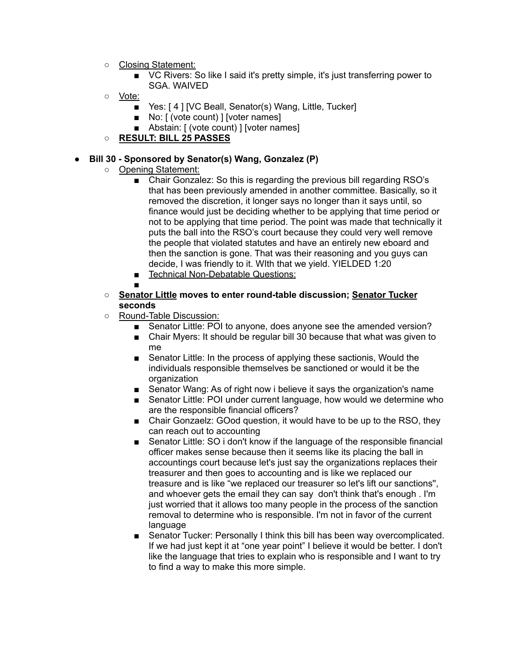- Closing Statement:
	- VC Rivers: So like I said it's pretty simple, it's just transferring power to SGA. WAIVED
- Vote:
	- Yes: [4] [VC Beall, Senator(s) Wang, Little, Tucker]
	- No: [ (vote count) ] [voter names]
	- Abstain: [ (vote count) ] [voter names]
- **○ RESULT: BILL 25 PASSES**

#### **● Bill 30 - Sponsored by Senator(s) Wang, Gonzalez (P)**

- Opening Statement:
	- Chair Gonzalez: So this is regarding the previous bill regarding RSO's that has been previously amended in another committee. Basically, so it removed the discretion, it longer says no longer than it says until, so finance would just be deciding whether to be applying that time period or not to be applying that time period. The point was made that technically it puts the ball into the RSO's court because they could very well remove the people that violated statutes and have an entirely new eboard and then the sanction is gone. That was their reasoning and you guys can decide, I was friendly to it. WIth that we yield. YIELDED 1:20
	- Technical Non-Debatable Questions:
	- ■
- **○ Senator Little moves to enter round-table discussion; Senator Tucker seconds**
- Round-Table Discussion:
	- Senator Little: POI to anyone, does anyone see the amended version?
	- Chair Myers: It should be regular bill 30 because that what was given to me
	- Senator Little: In the process of applying these sactionis, Would the individuals responsible themselves be sanctioned or would it be the organization
	- Senator Wang: As of right now i believe it says the organization's name
	- Senator Little: POI under current language, how would we determine who are the responsible financial officers?
	- Chair Gonzaelz: GOod question, it would have to be up to the RSO, they can reach out to accounting
	- Senator Little: SO i don't know if the language of the responsible financial officer makes sense because then it seems like its placing the ball in accountings court because let's just say the organizations replaces their treasurer and then goes to accounting and is like we replaced our treasure and is like "we replaced our treasurer so let's lift our sanctions'', and whoever gets the email they can say don't think that's enough . I'm just worried that it allows too many people in the process of the sanction removal to determine who is responsible. I'm not in favor of the current language
	- Senator Tucker: Personally I think this bill has been way overcomplicated. If we had just kept it at "one year point" I believe it would be better. I don't like the language that tries to explain who is responsible and I want to try to find a way to make this more simple.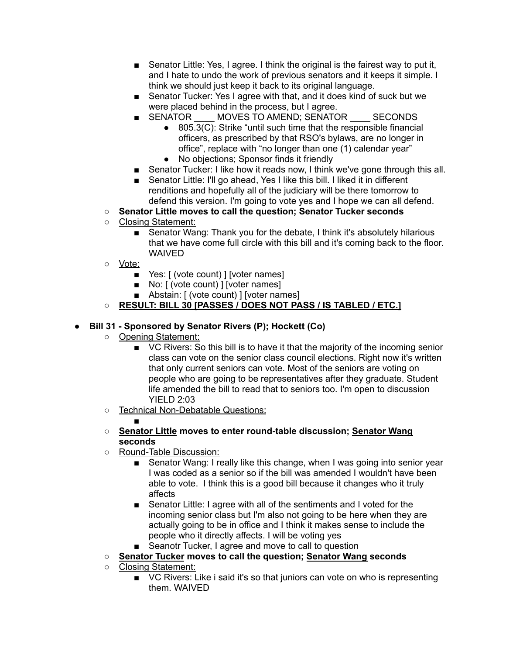- Senator Little: Yes, I agree. I think the original is the fairest way to put it, and I hate to undo the work of previous senators and it keeps it simple. I think we should just keep it back to its original language.
- Senator Tucker: Yes I agree with that, and it does kind of suck but we were placed behind in the process, but I agree.
- SENATOR \_\_\_ MOVES TO AMEND; SENATOR \_\_\_\_\_ SECONDS
	- 805.3(C): Strike "until such time that the responsible financial officers, as prescribed by that RSO's bylaws, are no longer in office", replace with "no longer than one (1) calendar year"
	- No objections; Sponsor finds it friendly
- Senator Tucker: I like how it reads now, I think we've gone through this all.
- Senator Little: I'll go ahead, Yes I like this bill. I liked it in different renditions and hopefully all of the judiciary will be there tomorrow to defend this version. I'm going to vote yes and I hope we can all defend.
- **○ Senator Little moves to call the question; Senator Tucker seconds**
- Closing Statement:
	- Senator Wang: Thank you for the debate, I think it's absolutely hilarious that we have come full circle with this bill and it's coming back to the floor. WAIVED
- Vote:
	- Yes: [ (vote count) ] [voter names]
	- No: [ (vote count) ] [voter names]
	- Abstain: [ (vote count) ] [voter names]
- **○ RESULT: BILL 30 [PASSES / DOES NOT PASS / IS TABLED / ETC.]**

#### **● Bill 31 - Sponsored by Senator Rivers (P); Hockett (Co)**

○ Opening Statement:

■

- VC Rivers: So this bill is to have it that the majority of the incoming senior class can vote on the senior class council elections. Right now it's written that only current seniors can vote. Most of the seniors are voting on people who are going to be representatives after they graduate. Student life amended the bill to read that to seniors too. I'm open to discussion YIELD 2:03
- Technical Non-Debatable Questions:

#### **○ Senator Little moves to enter round-table discussion; Senator Wang seconds**

- Round-Table Discussion:
	- Senator Wang: I really like this change, when I was going into senior year I was coded as a senior so if the bill was amended I wouldn't have been able to vote. I think this is a good bill because it changes who it truly affects
	- Senator Little: I agree with all of the sentiments and I voted for the incoming senior class but I'm also not going to be here when they are actually going to be in office and I think it makes sense to include the people who it directly affects. I will be voting yes
	- Seanotr Tucker, I agree and move to call to question
- **○ Senator Tucker moves to call the question; Senator Wang seconds**
- Closing Statement:
	- VC Rivers: Like i said it's so that juniors can vote on who is representing them. WAIVED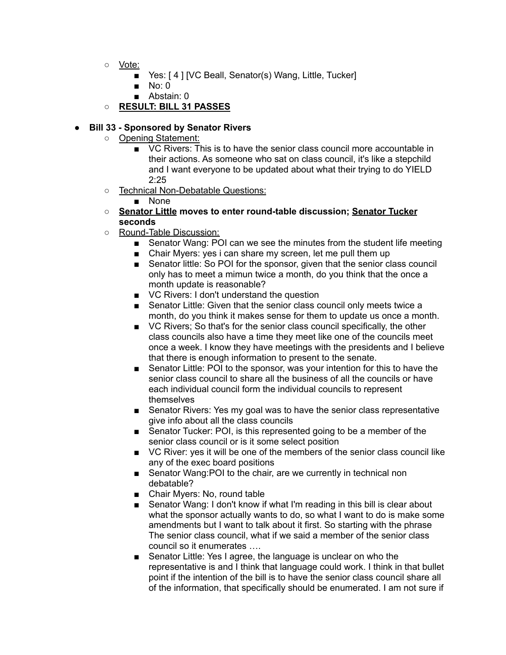- Vote:
	- Yes: [4] [VC Beall, Senator(s) Wang, Little, Tucker]
	- $\blacksquare$  No: 0
	- Abstain: 0
- **○ RESULT: BILL 31 PASSES**

#### **● Bill 33 - Sponsored by Senator Rivers**

- Opening Statement:
	- VC Rivers: This is to have the senior class council more accountable in their actions. As someone who sat on class council, it's like a stepchild and I want everyone to be updated about what their trying to do YIELD  $2.25$
- o Technical Non-Debatable Questions:

#### ■ None

- **○ Senator Little moves to enter round-table discussion; Senator Tucker seconds**
- o Round-Table Discussion:
	- Senator Wang: POI can we see the minutes from the student life meeting
	- Chair Myers: yes i can share my screen, let me pull them up
	- Senator little: So POI for the sponsor, given that the senior class council only has to meet a mimun twice a month, do you think that the once a month update is reasonable?
	- VC Rivers: I don't understand the question
	- Senator Little: Given that the senior class council only meets twice a month, do you think it makes sense for them to update us once a month.
	- VC Rivers; So that's for the senior class council specifically, the other class councils also have a time they meet like one of the councils meet once a week. I know they have meetings with the presidents and I believe that there is enough information to present to the senate.
	- Senator Little: POI to the sponsor, was your intention for this to have the senior class council to share all the business of all the councils or have each individual council form the individual councils to represent themselves
	- Senator Rivers: Yes my goal was to have the senior class representative give info about all the class councils
	- Senator Tucker: POI, is this represented going to be a member of the senior class council or is it some select position
	- VC River: yes it will be one of the members of the senior class council like any of the exec board positions
	- Senator Wang: POI to the chair, are we currently in technical non debatable?
	- Chair Myers: No, round table
	- Senator Wang: I don't know if what I'm reading in this bill is clear about what the sponsor actually wants to do, so what I want to do is make some amendments but I want to talk about it first. So starting with the phrase The senior class council, what if we said a member of the senior class council so it enumerates ….
	- Senator Little: Yes I agree, the language is unclear on who the representative is and I think that language could work. I think in that bullet point if the intention of the bill is to have the senior class council share all of the information, that specifically should be enumerated. I am not sure if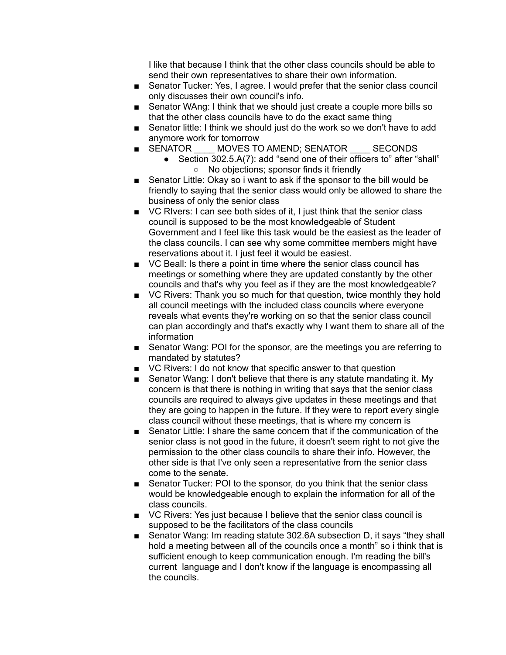I like that because I think that the other class councils should be able to send their own representatives to share their own information.

- Senator Tucker: Yes, I agree. I would prefer that the senior class council only discusses their own council's info.
- Senator WAng: I think that we should just create a couple more bills so that the other class councils have to do the exact same thing
- Senator little: I think we should just do the work so we don't have to add
- anymore work for tomorrow<br>■ SENATOR \_\_ MOVES TO MOVES TO AMEND; SENATOR SECONDS
	- Section 302.5.A(7): add "send one of their officers to" after "shall" ○ No objections; sponsor finds it friendly
- Senator Little: Okay so i want to ask if the sponsor to the bill would be friendly to saying that the senior class would only be allowed to share the business of only the senior class
- VC RIvers: I can see both sides of it, I just think that the senior class council is supposed to be the most knowledgeable of Student Government and I feel like this task would be the easiest as the leader of the class councils. I can see why some committee members might have reservations about it. I just feel it would be easiest.
- VC Beall: Is there a point in time where the senior class council has meetings or something where they are updated constantly by the other councils and that's why you feel as if they are the most knowledgeable?
- VC Rivers: Thank you so much for that question, twice monthly they hold all council meetings with the included class councils where everyone reveals what events they're working on so that the senior class council can plan accordingly and that's exactly why I want them to share all of the information
- Senator Wang: POI for the sponsor, are the meetings you are referring to mandated by statutes?
- VC Rivers: I do not know that specific answer to that question
- Senator Wang: I don't believe that there is any statute mandating it. My concern is that there is nothing in writing that says that the senior class councils are required to always give updates in these meetings and that they are going to happen in the future. If they were to report every single class council without these meetings, that is where my concern is
- Senator Little: I share the same concern that if the communication of the senior class is not good in the future, it doesn't seem right to not give the permission to the other class councils to share their info. However, the other side is that I've only seen a representative from the senior class come to the senate.
- Senator Tucker: POI to the sponsor, do you think that the senior class would be knowledgeable enough to explain the information for all of the class councils.
- VC Rivers: Yes just because I believe that the senior class council is supposed to be the facilitators of the class councils
- Senator Wang: Im reading statute 302.6A subsection D, it says "they shall hold a meeting between all of the councils once a month" so i think that is sufficient enough to keep communication enough. I'm reading the bill's current language and I don't know if the language is encompassing all the councils.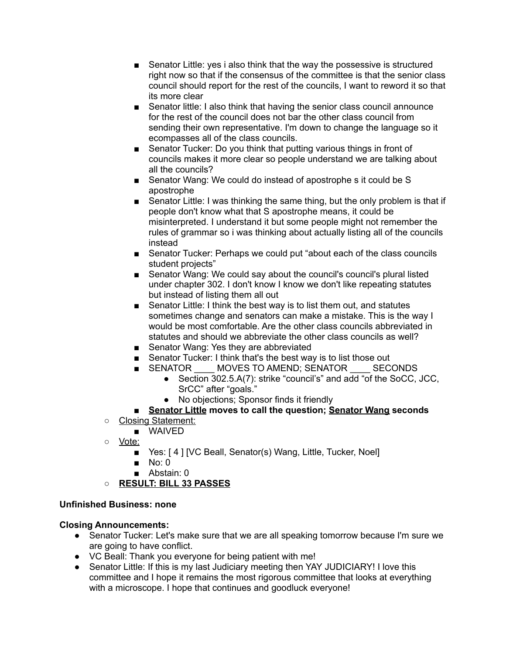- Senator Little: yes i also think that the way the possessive is structured right now so that if the consensus of the committee is that the senior class council should report for the rest of the councils, I want to reword it so that its more clear
- Senator little: I also think that having the senior class council announce for the rest of the council does not bar the other class council from sending their own representative. I'm down to change the language so it ecompasses all of the class councils.
- Senator Tucker: Do you think that putting various things in front of councils makes it more clear so people understand we are talking about all the councils?
- Senator Wang: We could do instead of apostrophe s it could be S apostrophe
- Senator Little: I was thinking the same thing, but the only problem is that if people don't know what that S apostrophe means, it could be misinterpreted. I understand it but some people might not remember the rules of grammar so i was thinking about actually listing all of the councils instead
- Senator Tucker: Perhaps we could put "about each of the class councils student projects"
- Senator Wang: We could say about the council's council's plural listed under chapter 302. I don't know I know we don't like repeating statutes but instead of listing them all out
- Senator Little: I think the best way is to list them out, and statutes sometimes change and senators can make a mistake. This is the way I would be most comfortable. Are the other class councils abbreviated in statutes and should we abbreviate the other class councils as well?
- Senator Wang: Yes they are abbreviated
- Senator Tucker: I think that's the best way is to list those out
- SENATOR MOVES TO AMEND; SENATOR SECONDS
	- Section 302.5.A(7): strike "council's" and add "of the SoCC, JCC, SrCC" after "goals."
	- No objections; Sponsor finds it friendly
- **Senator Little moves to call the question; Senator Wang seconds**
- Closing Statement:
	- WAIVED
- Vote:
	- Yes: [4] [VC Beall, Senator(s) Wang, Little, Tucker, Noel]
	- No: 0
	- Abstain: 0
- **○ RESULT: BILL 33 PASSES**

## **Unfinished Business: none**

## **Closing Announcements:**

- Senator Tucker: Let's make sure that we are all speaking tomorrow because I'm sure we are going to have conflict.
- VC Beall: Thank you everyone for being patient with me!
- Senator Little: If this is my last Judiciary meeting then YAY JUDICIARY! I love this committee and I hope it remains the most rigorous committee that looks at everything with a microscope. I hope that continues and goodluck everyone!